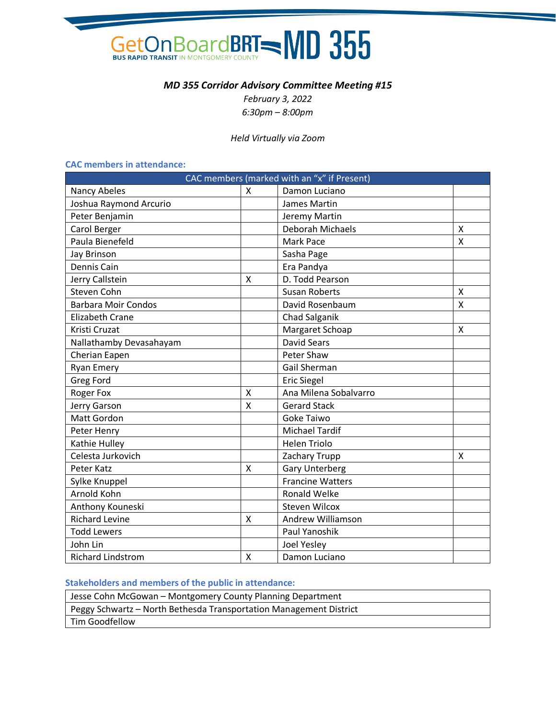

# *MD 355 Corridor Advisory Committee Meeting #15*

*February 3, 2022 6:30pm – 8:00pm*

#### *Held Virtually via Zoom*

#### **CAC members in attendance:**

| CAC members (marked with an "x" if Present) |   |                          |                           |
|---------------------------------------------|---|--------------------------|---------------------------|
| <b>Nancy Abeles</b>                         | X | Damon Luciano            |                           |
| Joshua Raymond Arcurio                      |   | James Martin             |                           |
| Peter Benjamin                              |   | Jeremy Martin            |                           |
| Carol Berger                                |   | Deborah Michaels         | $\boldsymbol{\mathsf{X}}$ |
| Paula Bienefeld                             |   | Mark Pace                | X                         |
| Jay Brinson                                 |   | Sasha Page               |                           |
| <b>Dennis Cain</b>                          |   | Era Pandya               |                           |
| Jerry Callstein                             | X | D. Todd Pearson          |                           |
| Steven Cohn                                 |   | <b>Susan Roberts</b>     | $\mathsf{x}$              |
| <b>Barbara Moir Condos</b>                  |   | David Rosenbaum          | X                         |
| <b>Elizabeth Crane</b>                      |   | <b>Chad Salganik</b>     |                           |
| Kristi Cruzat                               |   | Margaret Schoap          | X                         |
| Nallathamby Devasahayam                     |   | <b>David Sears</b>       |                           |
| Cherian Eapen                               |   | Peter Shaw               |                           |
| <b>Ryan Emery</b>                           |   | <b>Gail Sherman</b>      |                           |
| Greg Ford                                   |   | <b>Eric Siegel</b>       |                           |
| <b>Roger Fox</b>                            | X | Ana Milena Sobalvarro    |                           |
| Jerry Garson                                | X | <b>Gerard Stack</b>      |                           |
| Matt Gordon                                 |   | <b>Goke Taiwo</b>        |                           |
| Peter Henry                                 |   | <b>Michael Tardif</b>    |                           |
| Kathie Hulley                               |   | <b>Helen Triolo</b>      |                           |
| Celesta Jurkovich                           |   | Zachary Trupp            | X                         |
| Peter Katz                                  | X | <b>Gary Unterberg</b>    |                           |
| Sylke Knuppel                               |   | <b>Francine Watters</b>  |                           |
| Arnold Kohn                                 |   | <b>Ronald Welke</b>      |                           |
| Anthony Kouneski                            |   | <b>Steven Wilcox</b>     |                           |
| <b>Richard Levine</b>                       | X | <b>Andrew Williamson</b> |                           |
| <b>Todd Lewers</b>                          |   | Paul Yanoshik            |                           |
| John Lin                                    |   | <b>Joel Yesley</b>       |                           |
| <b>Richard Lindstrom</b>                    | X | Damon Luciano            |                           |

**Stakeholders and members of the public in attendance:**

| Jesse Cohn McGowan - Montgomery County Planning Department         |  |  |
|--------------------------------------------------------------------|--|--|
| Peggy Schwartz - North Bethesda Transportation Management District |  |  |
| Tim Goodfellow                                                     |  |  |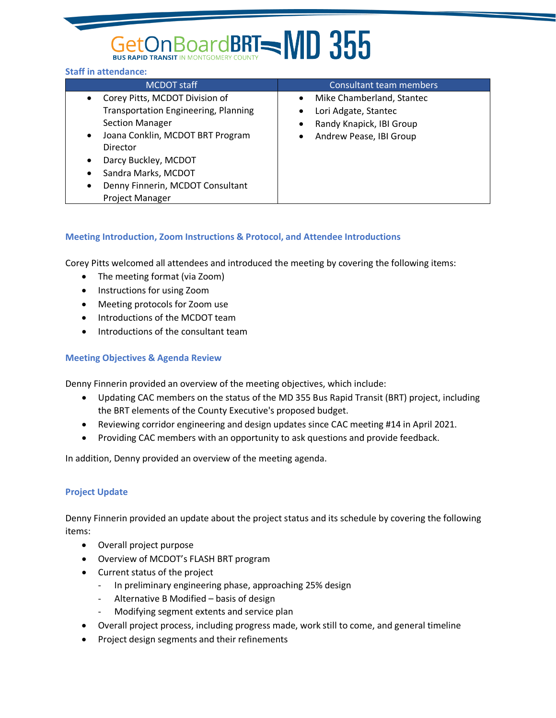# GetOn Board BRT= MD 355

### **Staff in attendance:**

| MCDOT staff                                                                                                                                                                                                                                                                                                           | Consultant team members                                                                                               |
|-----------------------------------------------------------------------------------------------------------------------------------------------------------------------------------------------------------------------------------------------------------------------------------------------------------------------|-----------------------------------------------------------------------------------------------------------------------|
| Corey Pitts, MCDOT Division of<br>$\bullet$<br><b>Transportation Engineering, Planning</b><br><b>Section Manager</b><br>Joana Conklin, MCDOT BRT Program<br>$\bullet$<br>Director<br>Darcy Buckley, MCDOT<br>٠<br>Sandra Marks, MCDOT<br>٠<br>Denny Finnerin, MCDOT Consultant<br>$\bullet$<br><b>Project Manager</b> | Mike Chamberland, Stantec<br>$\bullet$<br>Lori Adgate, Stantec<br>Randy Knapick, IBI Group<br>Andrew Pease, IBI Group |

# **Meeting Introduction, Zoom Instructions & Protocol, and Attendee Introductions**

Corey Pitts welcomed all attendees and introduced the meeting by covering the following items:

- The meeting format (via Zoom)
- Instructions for using Zoom
- Meeting protocols for Zoom use
- Introductions of the MCDOT team
- Introductions of the consultant team

### **Meeting Objectives & Agenda Review**

Denny Finnerin provided an overview of the meeting objectives, which include:

- Updating CAC members on the status of the MD 355 Bus Rapid Transit (BRT) project, including the BRT elements of the County Executive's proposed budget.
- Reviewing corridor engineering and design updates since CAC meeting #14 in April 2021.
- Providing CAC members with an opportunity to ask questions and provide feedback.

In addition, Denny provided an overview of the meeting agenda.

# **Project Update**

Denny Finnerin provided an update about the project status and its schedule by covering the following items:

- Overall project purpose
- Overview of MCDOT's FLASH BRT program
- Current status of the project
	- In preliminary engineering phase, approaching 25% design
	- Alternative B Modified basis of design
	- Modifying segment extents and service plan
- Overall project process, including progress made, work still to come, and general timeline
- Project design segments and their refinements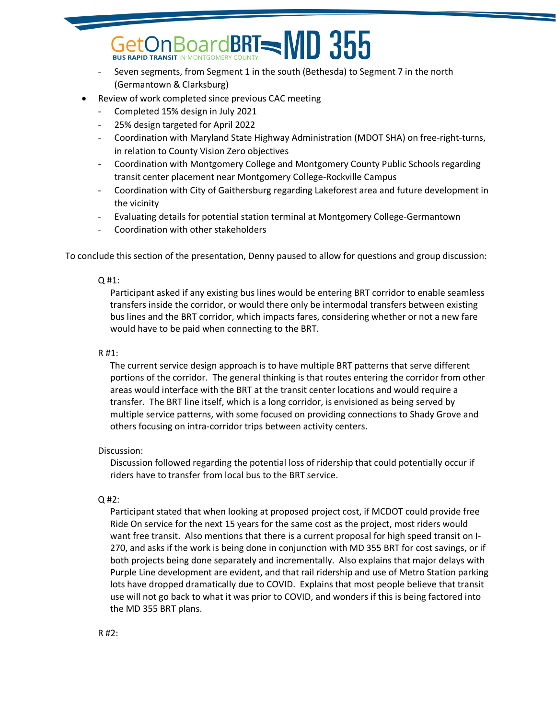# ardBRT $=$ MD 355 **BUS RAPID TRANSIT IN MONTGOMERY COUNT**

- Seven segments, from Segment 1 in the south (Bethesda) to Segment 7 in the north (Germantown & Clarksburg)
- Review of work completed since previous CAC meeting
	- Completed 15% design in July 2021
	- 25% design targeted for April 2022
	- Coordination with Maryland State Highway Administration (MDOT SHA) on free-right-turns, in relation to County Vision Zero objectives
	- Coordination with Montgomery College and Montgomery County Public Schools regarding transit center placement near Montgomery College-Rockville Campus
	- Coordination with City of Gaithersburg regarding Lakeforest area and future development in the vicinity
	- Evaluating details for potential station terminal at Montgomery College-Germantown
	- Coordination with other stakeholders

To conclude this section of the presentation, Denny paused to allow for questions and group discussion:

### Q #1:

Participant asked if any existing bus lines would be entering BRT corridor to enable seamless transfers inside the corridor, or would there only be intermodal transfers between existing bus lines and the BRT corridor, which impacts fares, considering whether or not a new fare would have to be paid when connecting to the BRT.

### R #1:

The current service design approach is to have multiple BRT patterns that serve different portions of the corridor. The general thinking is that routes entering the corridor from other areas would interface with the BRT at the transit center locations and would require a transfer. The BRT line itself, which is a long corridor, is envisioned as being served by multiple service patterns, with some focused on providing connections to Shady Grove and others focusing on intra-corridor trips between activity centers.

# Discussion:

Discussion followed regarding the potential loss of ridership that could potentially occur if riders have to transfer from local bus to the BRT service.

# Q #2:

Participant stated that when looking at proposed project cost, if MCDOT could provide free Ride On service for the next 15 years for the same cost as the project, most riders would want free transit. Also mentions that there is a current proposal for high speed transit on I-270, and asks if the work is being done in conjunction with MD 355 BRT for cost savings, or if both projects being done separately and incrementally. Also explains that major delays with Purple Line development are evident, and that rail ridership and use of Metro Station parking lots have dropped dramatically due to COVID. Explains that most people believe that transit use will not go back to what it was prior to COVID, and wonders if this is being factored into the MD 355 BRT plans.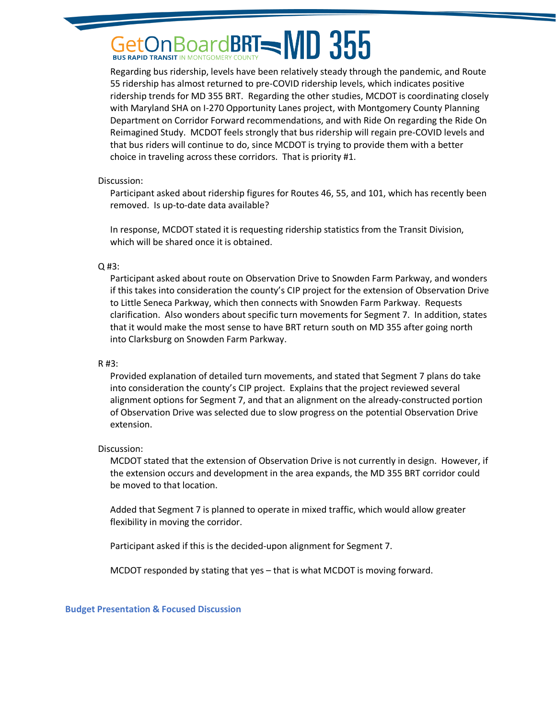# ardBRT $=$ MD 355 **BUS RAPID TRANSIT IN MONTGOMERY COUNT**

Regarding bus ridership, levels have been relatively steady through the pandemic, and Route 55 ridership has almost returned to pre-COVID ridership levels, which indicates positive ridership trends for MD 355 BRT. Regarding the other studies, MCDOT is coordinating closely with Maryland SHA on I-270 Opportunity Lanes project, with Montgomery County Planning Department on Corridor Forward recommendations, and with Ride On regarding the Ride On Reimagined Study. MCDOT feels strongly that bus ridership will regain pre-COVID levels and that bus riders will continue to do, since MCDOT is trying to provide them with a better choice in traveling across these corridors. That is priority #1.

#### Discussion:

Participant asked about ridership figures for Routes 46, 55, and 101, which has recently been removed. Is up-to-date data available?

In response, MCDOT stated it is requesting ridership statistics from the Transit Division, which will be shared once it is obtained.

#### Q #3:

Participant asked about route on Observation Drive to Snowden Farm Parkway, and wonders if this takes into consideration the county's CIP project for the extension of Observation Drive to Little Seneca Parkway, which then connects with Snowden Farm Parkway. Requests clarification. Also wonders about specific turn movements for Segment 7. In addition, states that it would make the most sense to have BRT return south on MD 355 after going north into Clarksburg on Snowden Farm Parkway.

#### R #3:

Provided explanation of detailed turn movements, and stated that Segment 7 plans do take into consideration the county's CIP project. Explains that the project reviewed several alignment options for Segment 7, and that an alignment on the already-constructed portion of Observation Drive was selected due to slow progress on the potential Observation Drive extension.

#### Discussion:

MCDOT stated that the extension of Observation Drive is not currently in design. However, if the extension occurs and development in the area expands, the MD 355 BRT corridor could be moved to that location.

Added that Segment 7 is planned to operate in mixed traffic, which would allow greater flexibility in moving the corridor.

Participant asked if this is the decided-upon alignment for Segment 7.

MCDOT responded by stating that yes – that is what MCDOT is moving forward.

**Budget Presentation & Focused Discussion**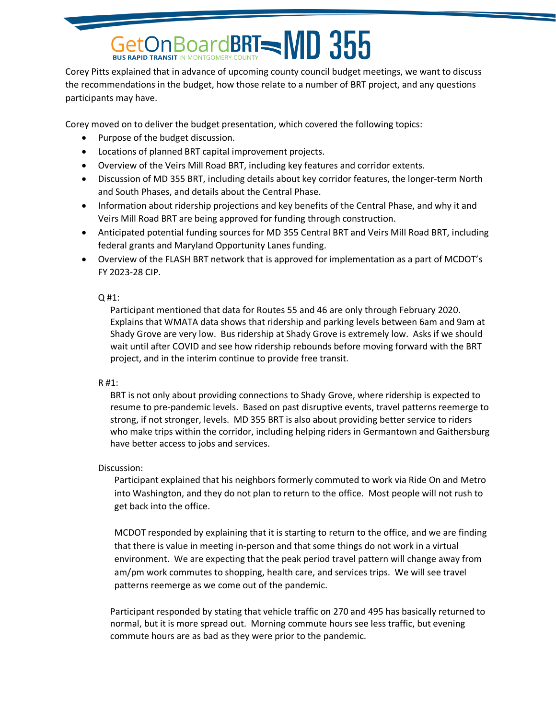# BoardBRT=MD 355 BUS RAPID TRANSIT IN MONTGOMERY COUNT

Corey Pitts explained that in advance of upcoming county council budget meetings, we want to discuss the recommendations in the budget, how those relate to a number of BRT project, and any questions participants may have.

Corey moved on to deliver the budget presentation, which covered the following topics:

- Purpose of the budget discussion.
- Locations of planned BRT capital improvement projects.
- Overview of the Veirs Mill Road BRT, including key features and corridor extents.
- Discussion of MD 355 BRT, including details about key corridor features, the longer-term North and South Phases, and details about the Central Phase.
- Information about ridership projections and key benefits of the Central Phase, and why it and Veirs Mill Road BRT are being approved for funding through construction.
- Anticipated potential funding sources for MD 355 Central BRT and Veirs Mill Road BRT, including federal grants and Maryland Opportunity Lanes funding.
- Overview of the FLASH BRT network that is approved for implementation as a part of MCDOT's FY 2023-28 CIP.

Q #1:

Participant mentioned that data for Routes 55 and 46 are only through February 2020. Explains that WMATA data shows that ridership and parking levels between 6am and 9am at Shady Grove are very low. Bus ridership at Shady Grove is extremely low. Asks if we should wait until after COVID and see how ridership rebounds before moving forward with the BRT project, and in the interim continue to provide free transit.

#### R #1:

BRT is not only about providing connections to Shady Grove, where ridership is expected to resume to pre-pandemic levels. Based on past disruptive events, travel patterns reemerge to strong, if not stronger, levels. MD 355 BRT is also about providing better service to riders who make trips within the corridor, including helping riders in Germantown and Gaithersburg have better access to jobs and services.

# Discussion:

Participant explained that his neighbors formerly commuted to work via Ride On and Metro into Washington, and they do not plan to return to the office. Most people will not rush to get back into the office.

MCDOT responded by explaining that it is starting to return to the office, and we are finding that there is value in meeting in-person and that some things do not work in a virtual environment. We are expecting that the peak period travel pattern will change away from am/pm work commutes to shopping, health care, and services trips. We will see travel patterns reemerge as we come out of the pandemic.

Participant responded by stating that vehicle traffic on 270 and 495 has basically returned to normal, but it is more spread out. Morning commute hours see less traffic, but evening commute hours are as bad as they were prior to the pandemic.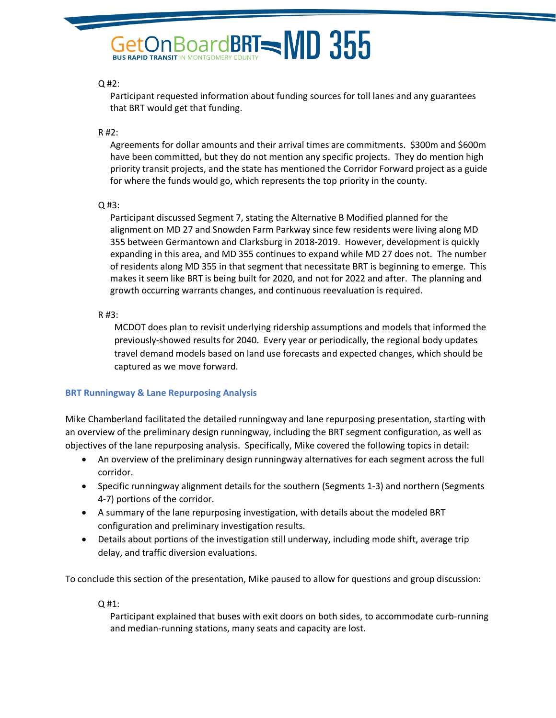# $\alpha$ ard**BRT=MD 355 BUS RAPID TRANSIT IN MONTGOMERY COUNTY**

#### $Q#2$ :

Participant requested information about funding sources for toll lanes and any guarantees that BRT would get that funding.

#### R #2:

Agreements for dollar amounts and their arrival times are commitments. \$300m and \$600m have been committed, but they do not mention any specific projects. They do mention high priority transit projects, and the state has mentioned the Corridor Forward project as a guide for where the funds would go, which represents the top priority in the county.

#### Q #3:

Participant discussed Segment 7, stating the Alternative B Modified planned for the alignment on MD 27 and Snowden Farm Parkway since few residents were living along MD 355 between Germantown and Clarksburg in 2018-2019. However, development is quickly expanding in this area, and MD 355 continues to expand while MD 27 does not. The number of residents along MD 355 in that segment that necessitate BRT is beginning to emerge. This makes it seem like BRT is being built for 2020, and not for 2022 and after. The planning and growth occurring warrants changes, and continuous reevaluation is required.

#### R #3:

MCDOT does plan to revisit underlying ridership assumptions and models that informed the previously-showed results for 2040. Every year or periodically, the regional body updates travel demand models based on land use forecasts and expected changes, which should be captured as we move forward.

#### **BRT Runningway & Lane Repurposing Analysis**

Mike Chamberland facilitated the detailed runningway and lane repurposing presentation, starting with an overview of the preliminary design runningway, including the BRT segment configuration, as well as objectives of the lane repurposing analysis. Specifically, Mike covered the following topics in detail:

- An overview of the preliminary design runningway alternatives for each segment across the full corridor.
- Specific runningway alignment details for the southern (Segments 1-3) and northern (Segments 4-7) portions of the corridor.
- A summary of the lane repurposing investigation, with details about the modeled BRT configuration and preliminary investigation results.
- Details about portions of the investigation still underway, including mode shift, average trip delay, and traffic diversion evaluations.

To conclude this section of the presentation, Mike paused to allow for questions and group discussion:

 $Q#1$ :

Participant explained that buses with exit doors on both sides, to accommodate curb-running and median-running stations, many seats and capacity are lost.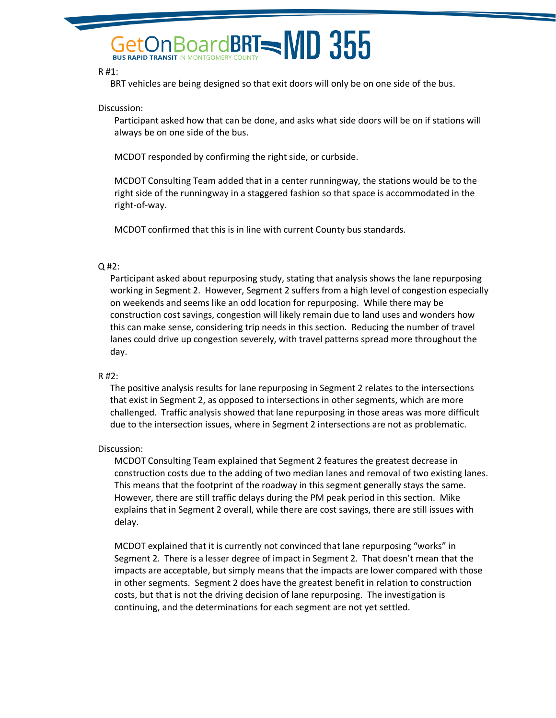# $\alpha$ ard**BRT=MD 355 BUS RAPID TRANSIT IN MONTGOMERY CO**

#### R #1:

BRT vehicles are being designed so that exit doors will only be on one side of the bus.

### Discussion:

Participant asked how that can be done, and asks what side doors will be on if stations will always be on one side of the bus.

MCDOT responded by confirming the right side, or curbside.

MCDOT Consulting Team added that in a center runningway, the stations would be to the right side of the runningway in a staggered fashion so that space is accommodated in the right-of-way.

MCDOT confirmed that this is in line with current County bus standards.

### $Q#2$ :

Participant asked about repurposing study, stating that analysis shows the lane repurposing working in Segment 2. However, Segment 2 suffers from a high level of congestion especially on weekends and seems like an odd location for repurposing. While there may be construction cost savings, congestion will likely remain due to land uses and wonders how this can make sense, considering trip needs in this section. Reducing the number of travel lanes could drive up congestion severely, with travel patterns spread more throughout the day.

#### R #2:

The positive analysis results for lane repurposing in Segment 2 relates to the intersections that exist in Segment 2, as opposed to intersections in other segments, which are more challenged. Traffic analysis showed that lane repurposing in those areas was more difficult due to the intersection issues, where in Segment 2 intersections are not as problematic.

# Discussion:

MCDOT Consulting Team explained that Segment 2 features the greatest decrease in construction costs due to the adding of two median lanes and removal of two existing lanes. This means that the footprint of the roadway in this segment generally stays the same. However, there are still traffic delays during the PM peak period in this section. Mike explains that in Segment 2 overall, while there are cost savings, there are still issues with delay.

MCDOT explained that it is currently not convinced that lane repurposing "works" in Segment 2. There is a lesser degree of impact in Segment 2. That doesn't mean that the impacts are acceptable, but simply means that the impacts are lower compared with those in other segments. Segment 2 does have the greatest benefit in relation to construction costs, but that is not the driving decision of lane repurposing. The investigation is continuing, and the determinations for each segment are not yet settled.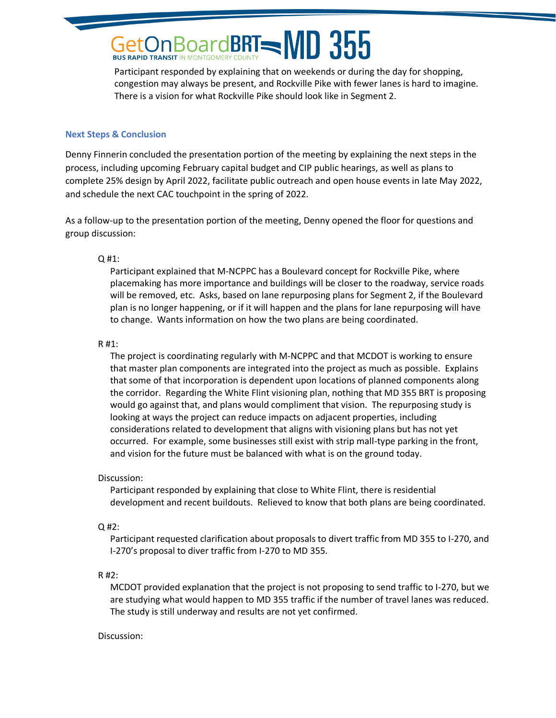# **DATO BRT=WD 355 BUS RAPID TRANSIT IN MONTGOMERY COUNT**

Participant responded by explaining that on weekends or during the day for shopping, congestion may always be present, and Rockville Pike with fewer lanes is hard to imagine. There is a vision for what Rockville Pike should look like in Segment 2.

### **Next Steps & Conclusion**

Denny Finnerin concluded the presentation portion of the meeting by explaining the next steps in the process, including upcoming February capital budget and CIP public hearings, as well as plans to complete 25% design by April 2022, facilitate public outreach and open house events in late May 2022, and schedule the next CAC touchpoint in the spring of 2022.

As a follow-up to the presentation portion of the meeting, Denny opened the floor for questions and group discussion:

Q #1:

Participant explained that M-NCPPC has a Boulevard concept for Rockville Pike, where placemaking has more importance and buildings will be closer to the roadway, service roads will be removed, etc. Asks, based on lane repurposing plans for Segment 2, if the Boulevard plan is no longer happening, or if it will happen and the plans for lane repurposing will have to change. Wants information on how the two plans are being coordinated.

#### R #1:

The project is coordinating regularly with M-NCPPC and that MCDOT is working to ensure that master plan components are integrated into the project as much as possible. Explains that some of that incorporation is dependent upon locations of planned components along the corridor. Regarding the White Flint visioning plan, nothing that MD 355 BRT is proposing would go against that, and plans would compliment that vision. The repurposing study is looking at ways the project can reduce impacts on adjacent properties, including considerations related to development that aligns with visioning plans but has not yet occurred. For example, some businesses still exist with strip mall-type parking in the front, and vision for the future must be balanced with what is on the ground today.

# Discussion:

Participant responded by explaining that close to White Flint, there is residential development and recent buildouts. Relieved to know that both plans are being coordinated.

# $Q$ #2:

Participant requested clarification about proposals to divert traffic from MD 355 to I-270, and I-270's proposal to diver traffic from I-270 to MD 355.

# R #2:

MCDOT provided explanation that the project is not proposing to send traffic to I-270, but we are studying what would happen to MD 355 traffic if the number of travel lanes was reduced. The study is still underway and results are not yet confirmed.

#### Discussion: